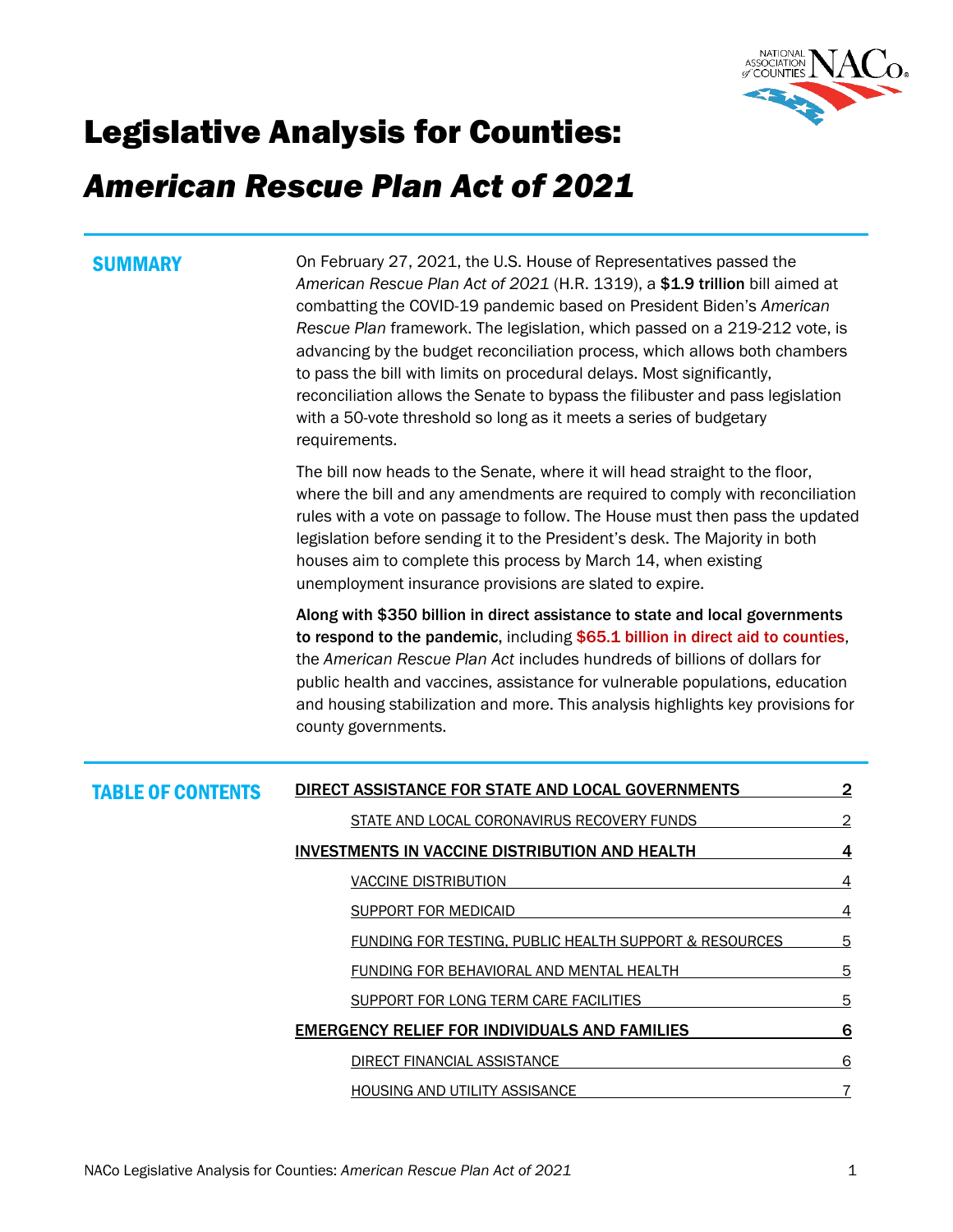

# Legislative Analysis for Counties:

# *American Rescue Plan Act of 2021*

**SUMMARY On February 27, 2021, the U.S. House of Representatives passed the** *American Rescue Plan Act of 2021* (H.R. 1319), a \$1.9 trillion bill aimed at combatting the COVID-19 pandemic based on President Biden's *American Rescue Plan* framework. The legislation, which passed on a 219-212 vote, is advancing by the budget reconciliation process, which allows both chambers to pass the bill with limits on procedural delays. Most significantly, reconciliation allows the Senate to bypass the filibuster and pass legislation with a 50-vote threshold so long as it meets a series of budgetary requirements.

> The bill now heads to the Senate, where it will head straight to the floor, where the bill and any amendments are required to comply with reconciliation rules with a vote on passage to follow. The House must then pass the updated legislation before sending it to the President's desk. The Majority in both houses aim to complete this process by March 14, when existing unemployment insurance provisions are slated to expire.

> Along with \$350 billion in direct assistance to state and local governments to respond to the pandemic, including \$65.1 billion in direct aid to counties, the *American Rescue Plan Act* includes hundreds of billions of dollars for public health and vaccines, assistance for vulnerable populations, education and housing stabilization and more. This analysis highlights key provisions for county governments.

| <b>TABLE OF CONTENTS</b> | DIRECT ASSISTANCE FOR STATE AND LOCAL GOVERNMENTS      | 2 |
|--------------------------|--------------------------------------------------------|---|
|                          | STATE AND LOCAL CORONAVIRUS RECOVERY FUNDS             | 2 |
|                          | <b>INVESTMENTS IN VACCINE DISTRIBUTION AND HEALTH</b>  | 4 |
|                          | VACCINE DISTRIBUTION                                   | 4 |
|                          | SUPPORT FOR MEDICAID                                   | 4 |
|                          | FUNDING FOR TESTING, PUBLIC HEALTH SUPPORT & RESOURCES | 5 |
|                          | FUNDING FOR BEHAVIORAL AND MENTAL HEALTH               | 5 |
|                          | SUPPORT FOR LONG TERM CARE FACILITIES                  | 5 |
|                          | <b>EMERGENCY RELIEF FOR INDIVIDUALS AND FAMILIES</b>   | 6 |
|                          | DIRECT FINANCIAL ASSISTANCE                            | 6 |
|                          | <b>HOUSING AND UTILITY ASSISANCE</b>                   |   |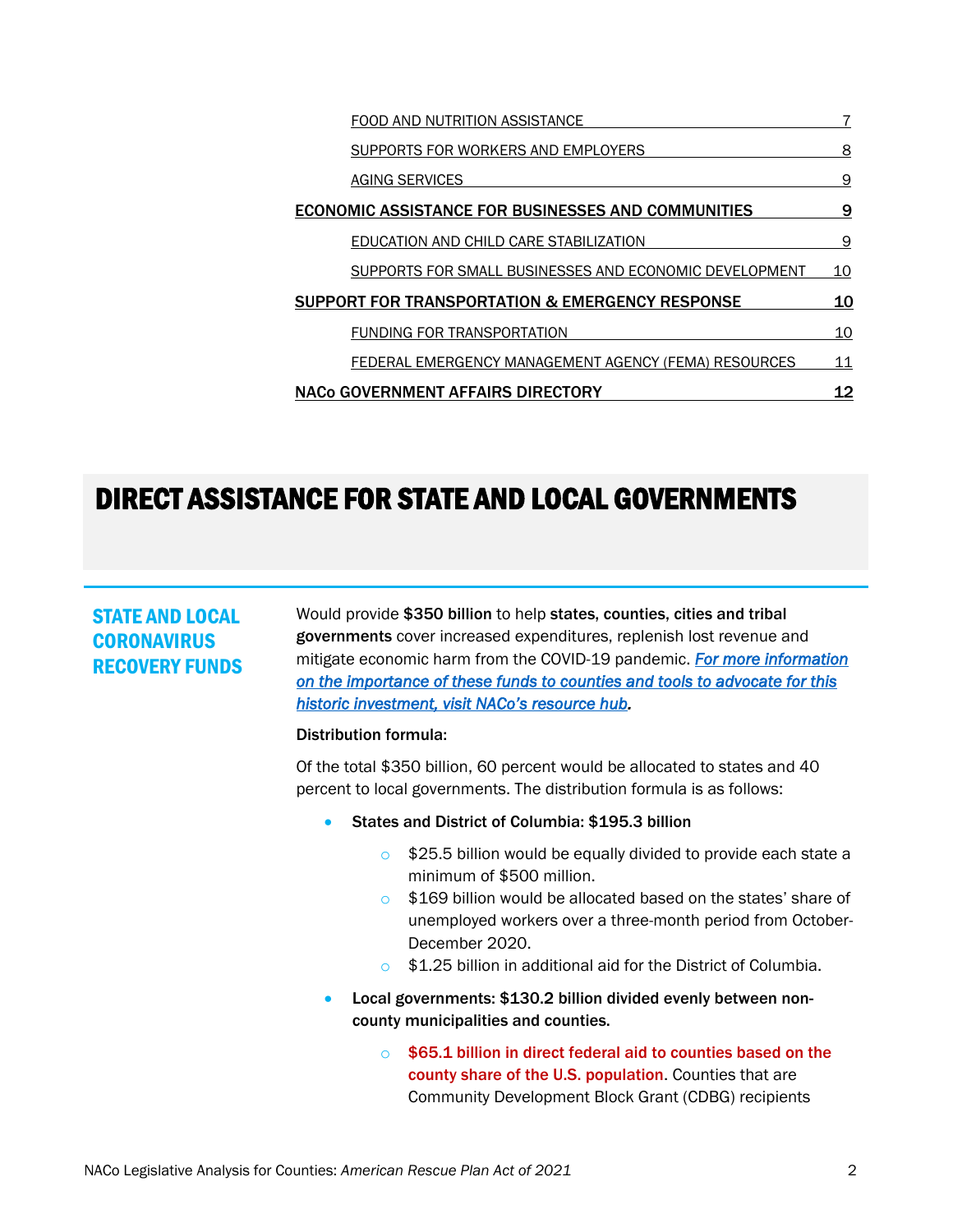| FOOD AND NUTRITION ASSISTANCE                              |    |
|------------------------------------------------------------|----|
| SUPPORTS FOR WORKERS AND EMPLOYERS                         | 8  |
| AGING SERVICES                                             | 9  |
| <b>ECONOMIC ASSISTANCE FOR BUSINESSES AND COMMUNITIES</b>  | 9  |
| EDUCATION AND CHILD CARE STABILIZATION                     | 9  |
| SUPPORTS FOR SMALL BUSINESSES AND ECONOMIC DEVELOPMENT     | 10 |
| <b>SUPPORT FOR TRANSPORTATION &amp; EMERGENCY RESPONSE</b> | 10 |
| <b>FUNDING FOR TRANSPORTATION</b>                          | 10 |
| FEDERAL EMERGENCY MANAGEMENT AGENCY (FEMA) RESOURCES       | 11 |
| <b>NACO GOVERNMENT AFFAIRS DIRECTORY</b>                   | 12 |

## <span id="page-1-0"></span>DIRECT ASSISTANCE FOR STATE AND LOCAL GOVERNMENTS

## <span id="page-1-1"></span>STATE AND LOCAL **CORONAVIRUS** RECOVERY FUNDS

Would provide \$350 billion to help states, counties, cities and tribal governments cover increased expenditures, replenish lost revenue and mitigate economic harm from the COVID-19 pandemic. *For more information on the importance of these funds to counties and tools to advocate for this historic investment, visit NACo's resource hub.* 

### Distribution formula:

Of the total \$350 billion, 60 percent would be allocated to states and 40 percent to local governments. The distribution formula is as follows:

- States and District of Columbia: \$195.3 billion
	- $\circ$  \$25.5 billion would be equally divided to provide each state a minimum of \$500 million.
	- o \$169 billion would be allocated based on the states' share of unemployed workers over a three-month period from October-December 2020.
	- o \$1.25 billion in additional aid for the District of Columbia.
- Local governments: \$130.2 billion divided evenly between noncounty municipalities and counties.
	- \$65.1 billion in direct federal aid to counties based on the county share of the U.S. population. Counties that are Community Development Block Grant (CDBG) recipients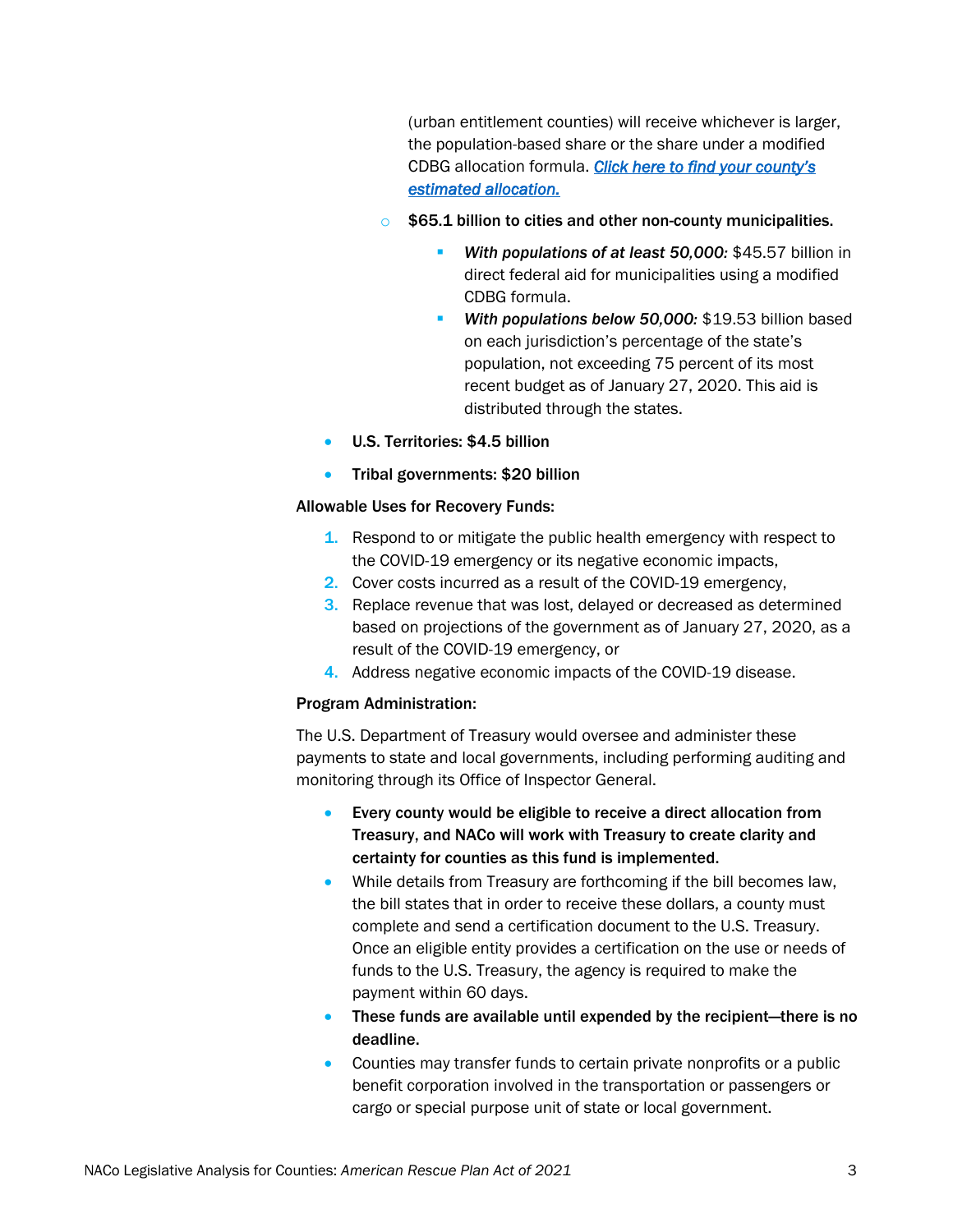(urban entitlement counties) will receive whichever is larger, the population-based share or the share under a modified CDBG allocation formula. *Click here to find your county's estimated allocation.*

- $\circ$  \$65.1 billion to cities and other non-county municipalities.
	- **With populations of at least 50,000: \$45.57 billion in** direct federal aid for municipalities using a modified CDBG formula.
	- *With populations below 50,000:* \$19.53 billion based on each jurisdiction's percentage of the state's population, not exceeding 75 percent of its most recent budget as of January 27, 2020. This aid is distributed through the states.
- U.S. Territories: \$4.5 billion
- Tribal governments: \$20 billion

### Allowable Uses for Recovery Funds:

- 1. Respond to or mitigate the public health emergency with respect to the COVID-19 emergency or its negative economic impacts,
- 2. Cover costs incurred as a result of the COVID-19 emergency,
- 3. Replace revenue that was lost, delayed or decreased as determined based on projections of the government as of January 27, 2020, as a result of the COVID-19 emergency, or
- 4. Address negative economic impacts of the COVID-19 disease.

### Program Administration:

The U.S. Department of Treasury would oversee and administer these payments to state and local governments, including performing auditing and monitoring through its Office of Inspector General.

- Every county would be eligible to receive a direct allocation from Treasury, and NACo will work with Treasury to create clarity and certainty for counties as this fund is implemented.
- While details from Treasury are forthcoming if the bill becomes law, the bill states that in order to receive these dollars, a county must complete and send a certification document to the U.S. Treasury. Once an eligible entity provides a certification on the use or needs of funds to the U.S. Treasury, the agency is required to make the payment within 60 days.
- These funds are available until expended by the recipient—there is no deadline.
- Counties may transfer funds to certain private nonprofits or a public benefit corporation involved in the transportation or passengers or cargo or special purpose unit of state or local government.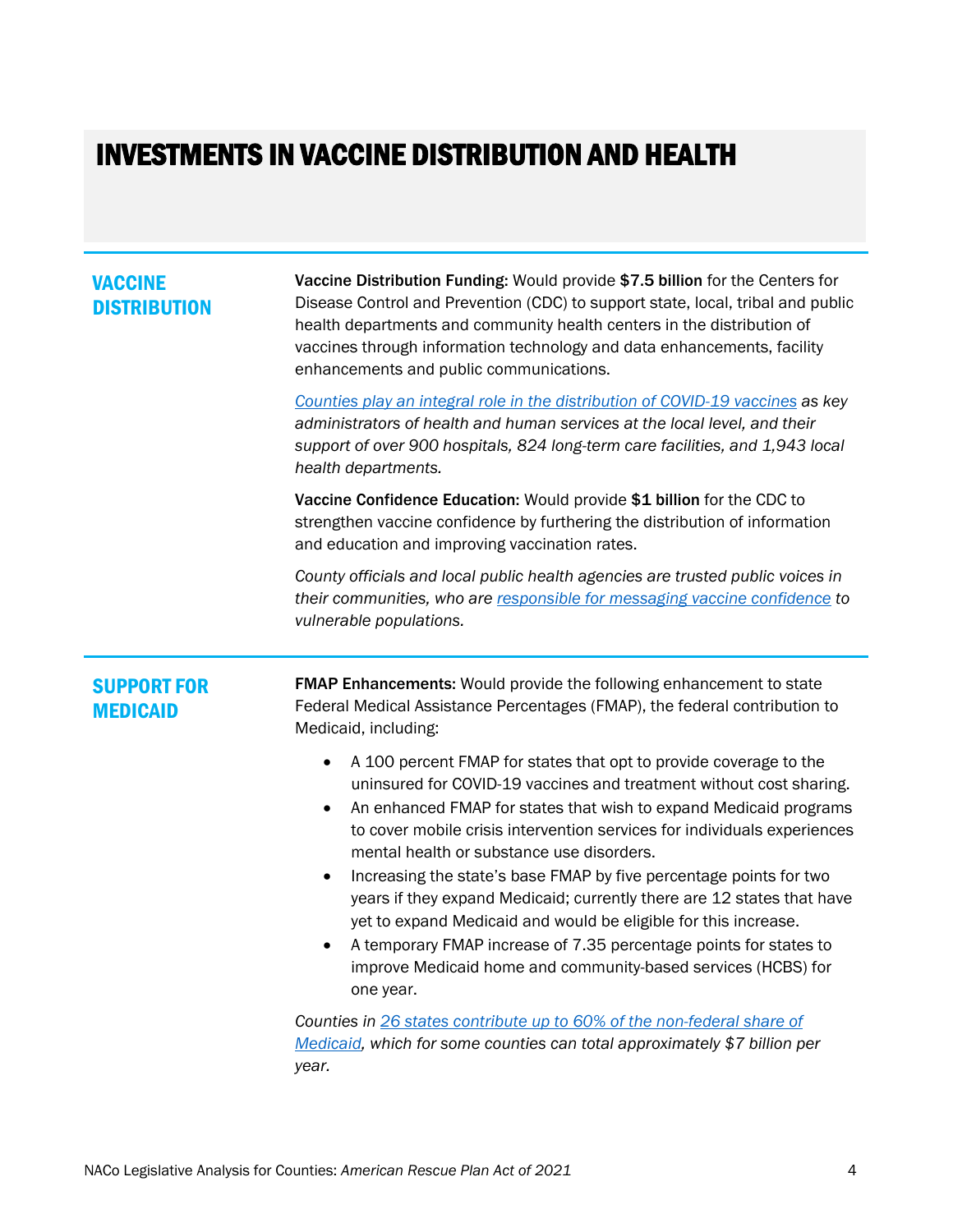## <span id="page-3-0"></span>INVESTMENTS IN VACCINE DISTRIBUTION AND HEALTH

### <span id="page-3-1"></span>VACCINE **DISTRIBUTION**

Vaccine Distribution Funding: Would provide \$7.5 billion for the Centers for Disease Control and Prevention (CDC) to support state, local, tribal and public health departments and community health centers in the distribution of vaccines through information technology and data enhancements, facility enhancements and public communications.

*Counties play an integral role in the distribution of COVID-19 vaccines as key administrators of health and human services at the local level, and their support of over 900 hospitals, 824 long-term care facilities, and 1,943 local health departments.* 

Vaccine Confidence Education: Would provide \$1 billion for the CDC to strengthen vaccine confidence by furthering the distribution of information and education and improving vaccination rates.

*County officials and local public health agencies are trusted public voices in their communities, who are responsible for messaging vaccine confidence to vulnerable populations.*

## <span id="page-3-2"></span>SUPPORT FOR MEDICAID

**FMAP Enhancements:** Would provide the following enhancement to state Federal Medical Assistance Percentages (FMAP), the federal contribution to Medicaid, including:

- A 100 percent FMAP for states that opt to provide coverage to the uninsured for COVID-19 vaccines and treatment without cost sharing.
- An enhanced FMAP for states that wish to expand Medicaid programs to cover mobile crisis intervention services for individuals experiences mental health or substance use disorders.
- Increasing the state's base FMAP by five percentage points for two years if they expand Medicaid; currently there are 12 states that have yet to expand Medicaid and would be eligible for this increase.
- A temporary FMAP increase of 7.35 percentage points for states to improve Medicaid home and community-based services (HCBS) for one year.

*Counties in 26 states contribute up to 60% of the non-federal share of Medicaid, which for some counties can total approximately \$7 billion per year.*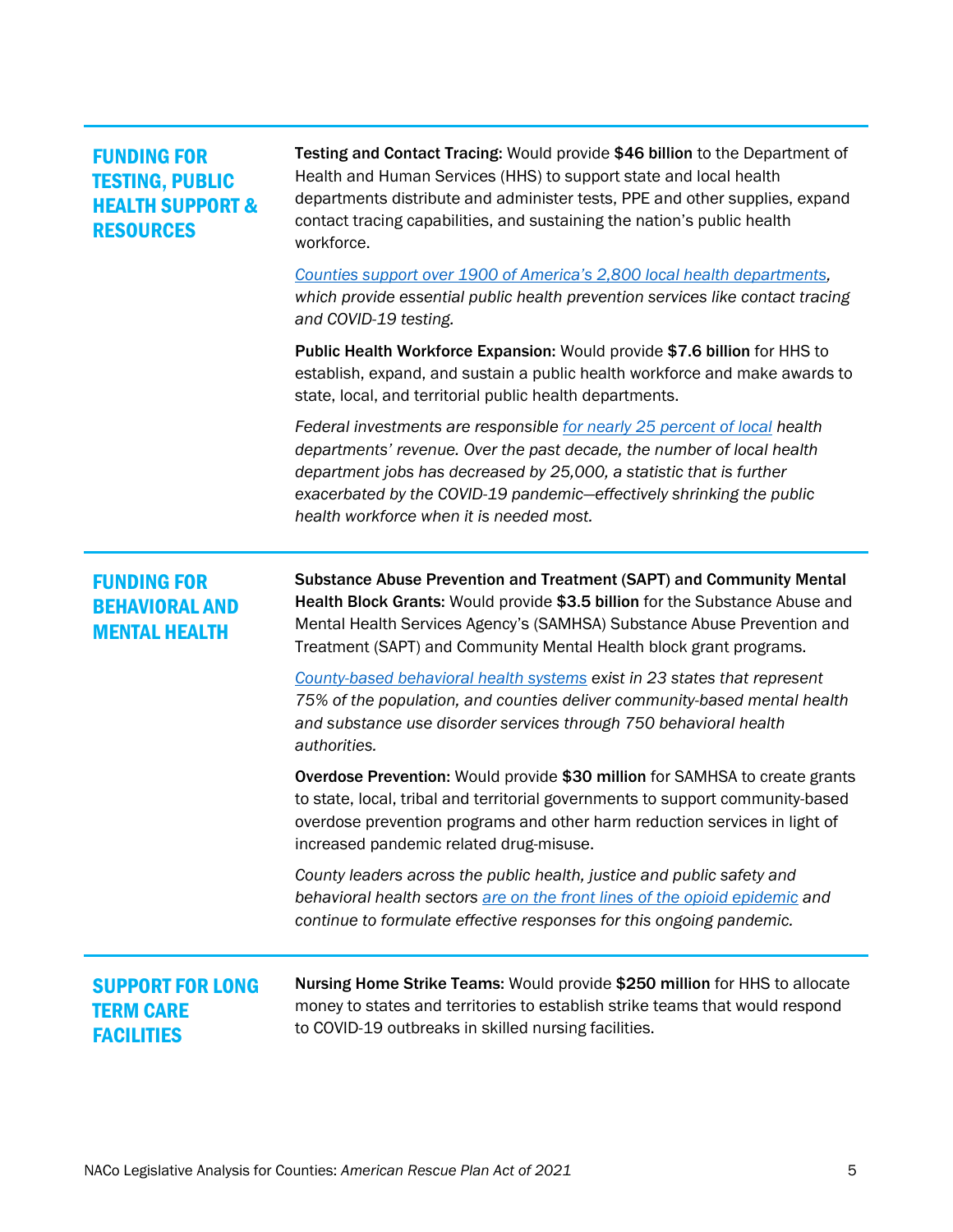## <span id="page-4-0"></span>FUNDING FOR TESTING, PUBLIC HEALTH SUPPORT & **RESOURCES**

Testing and Contact Tracing: Would provide \$46 billion to the Department of Health and Human Services (HHS) to support state and local health departments distribute and administer tests, PPE and other supplies, expand contact tracing capabilities, and sustaining the nation's public health workforce.

*Counties support over 1900 of America's 2,800 local health departments, which provide essential public health prevention services like contact tracing and COVID-19 testing.* 

Public Health Workforce Expansion: Would provide \$7.6 billion for HHS to establish, expand, and sustain a public health workforce and make awards to state, local, and territorial public health departments.

*Federal investments are responsible for nearly 25 percent of local health departments' revenue. Over the past decade, the number of local health department jobs has decreased by 25,000, a statistic that is further exacerbated by the COVID-19 pandemic—effectively shrinking the public health workforce when it is needed most.* 

## <span id="page-4-1"></span>FUNDING FOR BEHAVIORAL AND MENTAL HEALTH

Substance Abuse Prevention and Treatment (SAPT) and Community Mental Health Block Grants: Would provide \$3.5 billion for the Substance Abuse and Mental Health Services Agency's (SAMHSA) Substance Abuse Prevention and Treatment (SAPT) and Community Mental Health block grant programs.

*County-based behavioral health systems exist in 23 states that represent 75% of the population, and counties deliver community-based mental health and substance use disorder services through 750 behavioral health authorities.* 

Overdose Prevention: Would provide \$30 million for SAMHSA to create grants to state, local, tribal and territorial governments to support community-based overdose prevention programs and other harm reduction services in light of increased pandemic related drug-misuse.

*County leaders across the public health, justice and public safety and behavioral health sectors are on the front lines of the opioid epidemic and continue to formulate effective responses for this ongoing pandemic.* 

## <span id="page-4-2"></span>SUPPORT FOR LONG TERM CARE **FACILITIES**

Nursing Home Strike Teams: Would provide \$250 million for HHS to allocate money to states and territories to establish strike teams that would respond to COVID-19 outbreaks in skilled nursing facilities.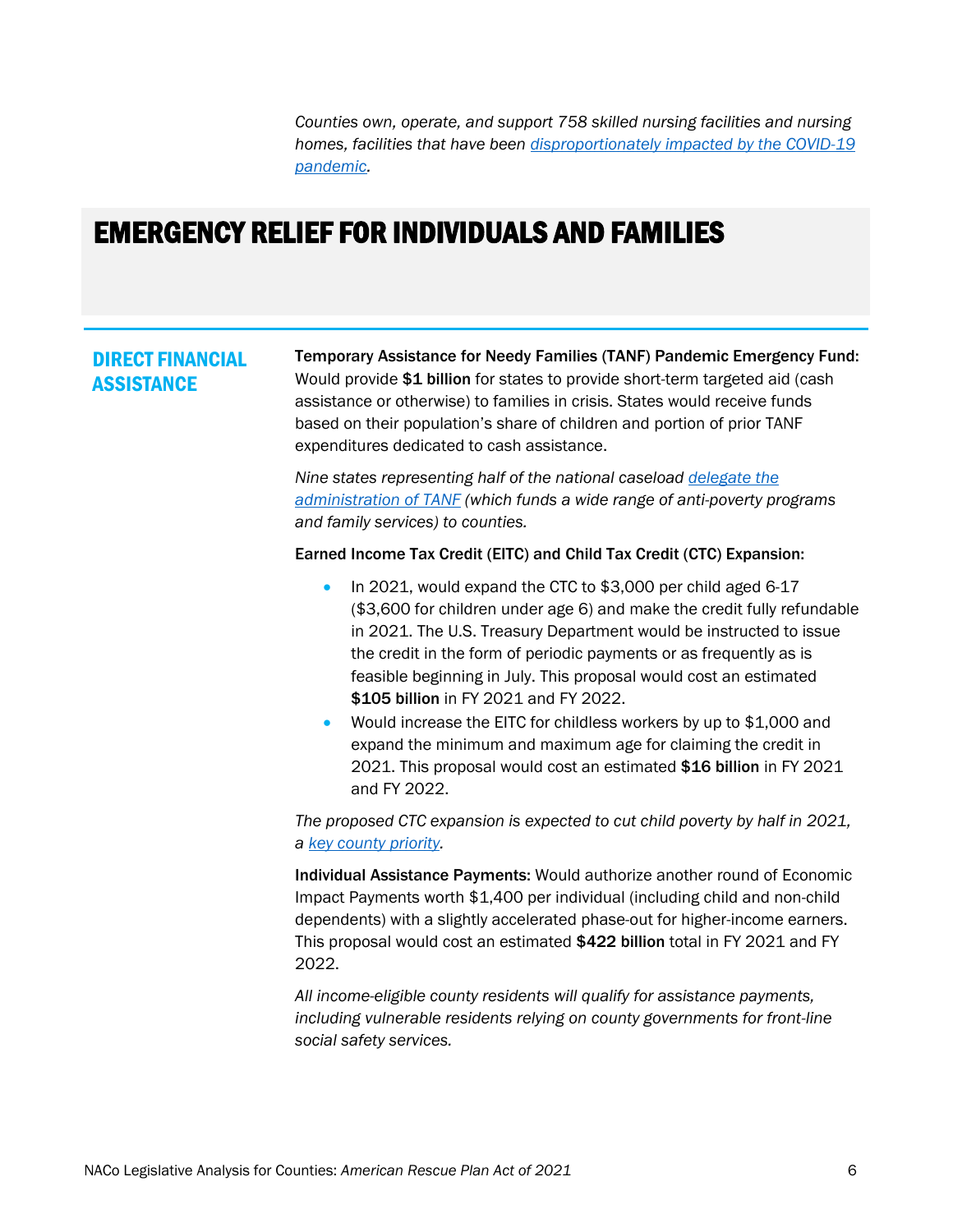*Counties own, operate, and support 758 skilled nursing facilities and nursing homes, facilities that have been disproportionately impacted by the COVID-19 pandemic.* 

## <span id="page-5-0"></span>EMERGENCY RELIEF FOR INDIVIDUALS AND FAMILIES

### <span id="page-5-1"></span>DIRECT FINANCIAL **ASSISTANCE**

Temporary Assistance for Needy Families (TANF) Pandemic Emergency Fund: Would provide \$1 billion for states to provide short-term targeted aid (cash assistance or otherwise) to families in crisis. States would receive funds based on their population's share of children and portion of prior TANF expenditures dedicated to cash assistance.

*Nine states representing half of the national caseload delegate the administration of TANF (which funds a wide range of anti-poverty programs and family services) to counties.*

### Earned Income Tax Credit (EITC) and Child Tax Credit (CTC) Expansion:

- In 2021, would expand the CTC to \$3,000 per child aged 6-17 (\$3,600 for children under age 6) and make the credit fully refundable in 2021. The U.S. Treasury Department would be instructed to issue the credit in the form of periodic payments or as frequently as is feasible beginning in July. This proposal would cost an estimated \$105 billion in FY 2021 and FY 2022.
- Would increase the EITC for childless workers by up to \$1,000 and expand the minimum and maximum age for claiming the credit in 2021. This proposal would cost an estimated \$16 billion in FY 2021 and FY 2022.

*The proposed CTC expansion is expected to cut child poverty by half in 2021, a key county priority.*

Individual Assistance Payments: Would authorize another round of Economic Impact Payments worth \$1,400 per individual (including child and non-child dependents) with a slightly accelerated phase-out for higher-income earners. This proposal would cost an estimated \$422 billion total in FY 2021 and FY 2022.

*All income-eligible county residents will qualify for assistance payments, including vulnerable residents relying on county governments for front-line social safety services.*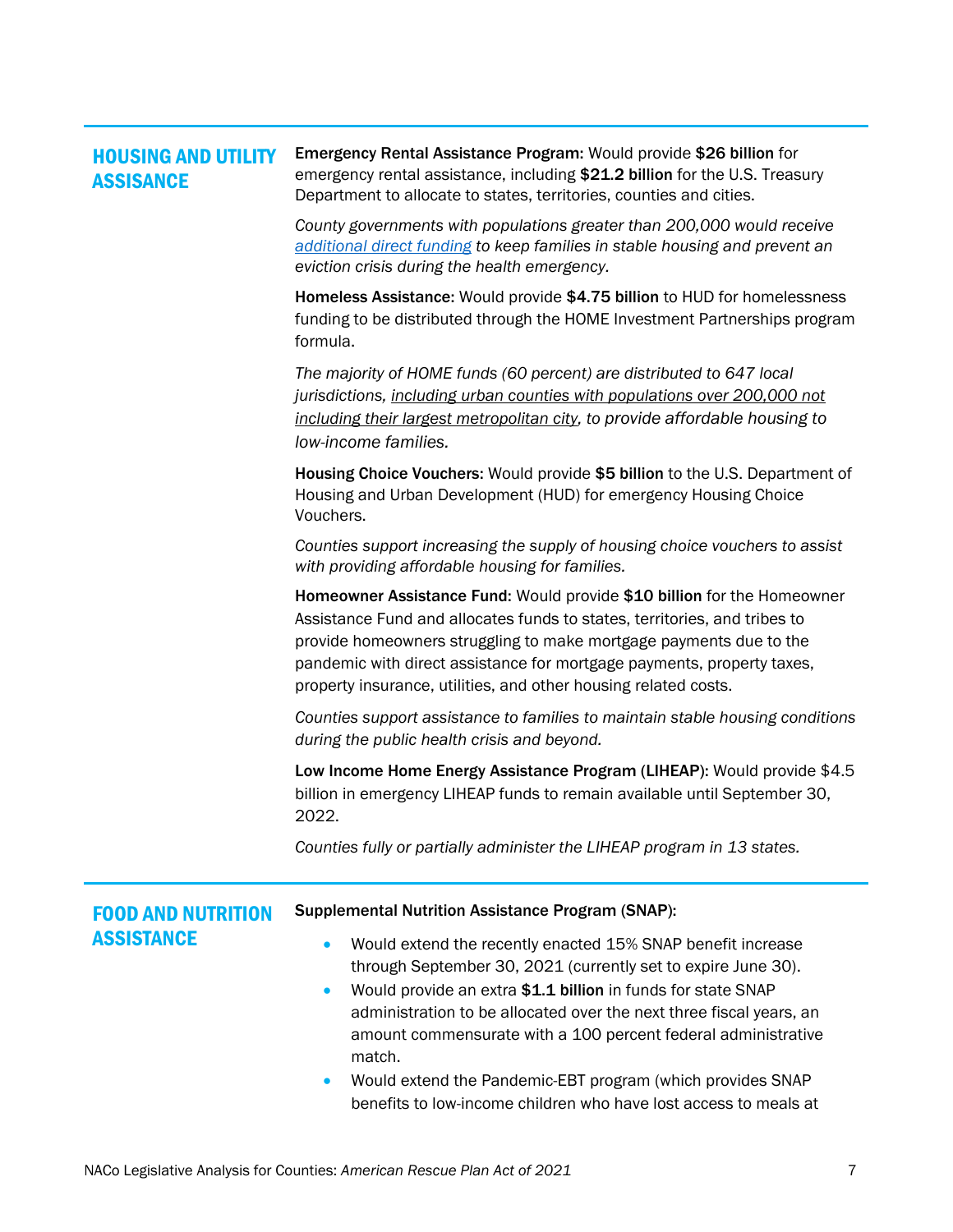<span id="page-6-0"></span>

| <b>HOUSING AND UTILITY</b><br><b>ASSISANCE</b> | Emergency Rental Assistance Program: Would provide \$26 billion for<br>emergency rental assistance, including \$21.2 billion for the U.S. Treasury<br>Department to allocate to states, territories, counties and cities.                                                                                                                                               |
|------------------------------------------------|-------------------------------------------------------------------------------------------------------------------------------------------------------------------------------------------------------------------------------------------------------------------------------------------------------------------------------------------------------------------------|
|                                                | County governments with populations greater than 200,000 would receive<br>additional direct funding to keep families in stable housing and prevent an<br>eviction crisis during the health emergency.                                                                                                                                                                   |
|                                                | Homeless Assistance: Would provide \$4.75 billion to HUD for homelessness<br>funding to be distributed through the HOME Investment Partnerships program<br>formula.                                                                                                                                                                                                     |
|                                                | The majority of HOME funds (60 percent) are distributed to 647 local<br>jurisdictions, including urban counties with populations over 200,000 not<br>including their largest metropolitan city, to provide affordable housing to<br>low-income families.                                                                                                                |
|                                                | Housing Choice Vouchers: Would provide \$5 billion to the U.S. Department of<br>Housing and Urban Development (HUD) for emergency Housing Choice<br>Vouchers.                                                                                                                                                                                                           |
|                                                | Counties support increasing the supply of housing choice vouchers to assist<br>with providing affordable housing for families.                                                                                                                                                                                                                                          |
|                                                | Homeowner Assistance Fund: Would provide \$10 billion for the Homeowner<br>Assistance Fund and allocates funds to states, territories, and tribes to<br>provide homeowners struggling to make mortgage payments due to the<br>pandemic with direct assistance for mortgage payments, property taxes,<br>property insurance, utilities, and other housing related costs. |
|                                                | Counties support assistance to families to maintain stable housing conditions<br>during the public health crisis and beyond.                                                                                                                                                                                                                                            |
|                                                | Low Income Home Energy Assistance Program (LIHEAP): Would provide \$4.5<br>billion in emergency LIHEAP funds to remain available until September 30,<br>2022.                                                                                                                                                                                                           |
|                                                | Counties fully or partially administer the LIHEAP program in 13 states.                                                                                                                                                                                                                                                                                                 |

<span id="page-6-1"></span>

| <b>FOOD AND NUTRITION</b> | <b>Supplemental Nutrition Assistance Program (SNAP):</b>                                                                                                                                                                                                                                                                                                                                                                                                                                                                |
|---------------------------|-------------------------------------------------------------------------------------------------------------------------------------------------------------------------------------------------------------------------------------------------------------------------------------------------------------------------------------------------------------------------------------------------------------------------------------------------------------------------------------------------------------------------|
| <b>ASSISTANCE</b>         | Would extend the recently enacted 15% SNAP benefit increase<br>$\bullet$<br>through September 30, 2021 (currently set to expire June 30).<br>Would provide an extra \$1.1 billion in funds for state SNAP<br>$\bullet$<br>administration to be allocated over the next three fiscal years, an<br>amount commensurate with a 100 percent federal administrative<br>match.<br>Would extend the Pandemic-EBT program (which provides SNAP<br>$\bullet$<br>benefits to low-income children who have lost access to meals at |
|                           |                                                                                                                                                                                                                                                                                                                                                                                                                                                                                                                         |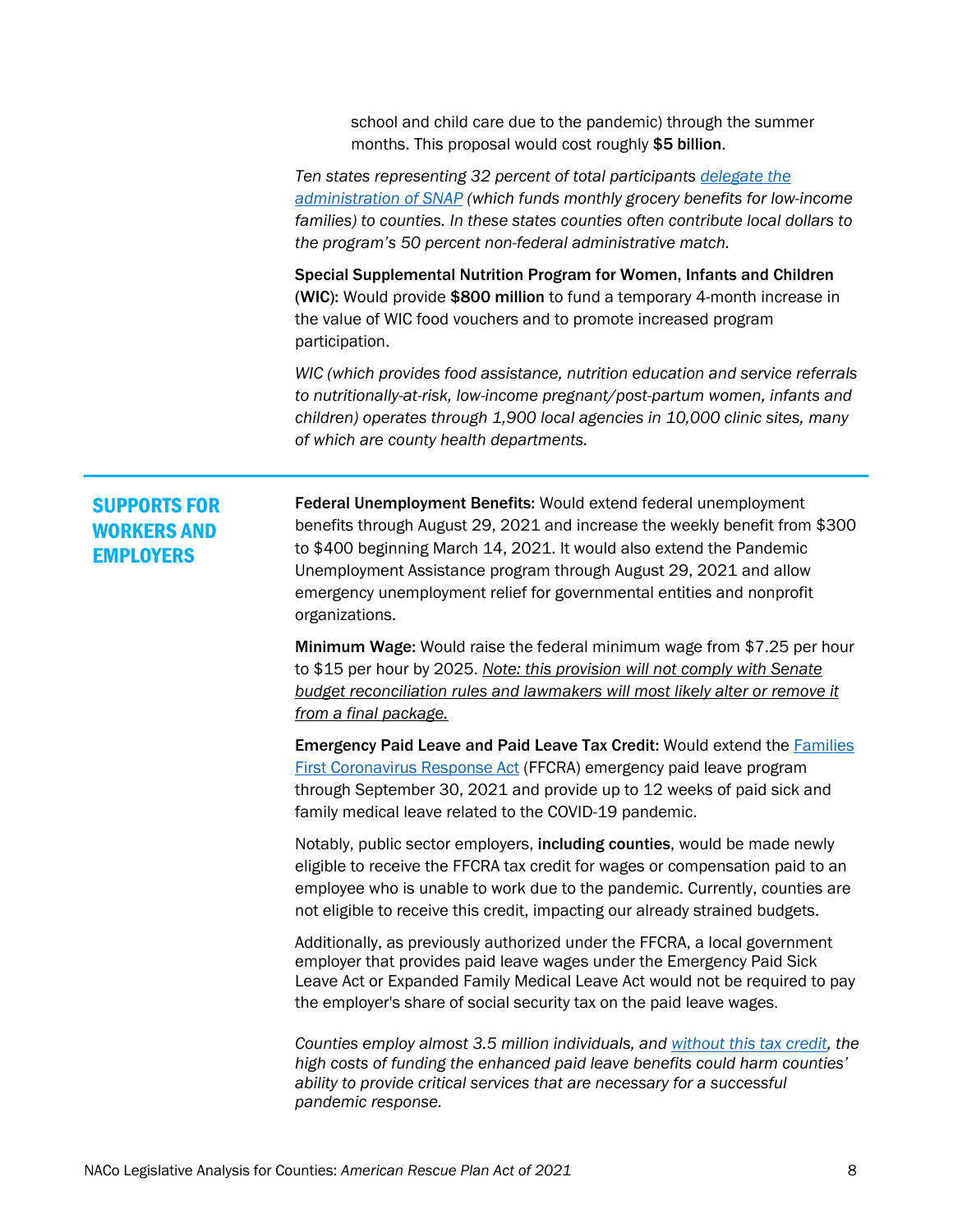school and child care due to the pandemic) through the summer months. This proposal would cost roughly \$5 billion.

*Ten states representing 32 percent of total participants delegate the administration of SNAP (which funds monthly grocery benefits for low-income families) to counties. In these states counties often contribute local dollars to the program's 50 percent non-federal administrative match.* 

Special Supplemental Nutrition Program for Women, Infants and Children (WIC): Would provide \$800 million to fund a temporary 4-month increase in the value of WIC food vouchers and to promote increased program participation.

*WIC (which provides food assistance, nutrition education and service referrals to nutritionally-at-risk, low-income pregnant/post-partum women, infants and children) operates through 1,900 local agencies in 10,000 clinic sites, many of which are county health departments.*

## <span id="page-7-0"></span>SUPPORTS FOR WORKERS AND **EMPLOYERS**

Federal Unemployment Benefits: Would extend federal unemployment benefits through August 29, 2021 and increase the weekly benefit from \$300 to \$400 beginning March 14, 2021. It would also extend the Pandemic Unemployment Assistance program through August 29, 2021 and allow emergency unemployment relief for governmental entities and nonprofit organizations.

Minimum Wage: Would raise the federal minimum wage from \$7.25 per hour to \$15 per hour by 2025. *Note: this provision will not comply with Senate budget reconciliation rules and lawmakers will most likely alter or remove it from a final package.*

Emergency Paid Leave and Paid Leave Tax Credit: Would extend the Families First Coronavirus Response Act (FFCRA) emergency paid leave program through September 30, 2021 and provide up to 12 weeks of paid sick and family medical leave related to the COVID-19 pandemic.

Notably, public sector employers, including counties, would be made newly eligible to receive the FFCRA tax credit for wages or compensation paid to an employee who is unable to work due to the pandemic. Currently, counties are not eligible to receive this credit, impacting our already strained budgets.

Additionally, as previously authorized under the FFCRA, a local government employer that provides paid leave wages under the Emergency Paid Sick Leave Act or Expanded Family Medical Leave Act would not be required to pay the employer's share of social security tax on the paid leave wages.

*Counties employ almost 3.5 million individuals, and without this tax credit, the high costs of funding the enhanced paid leave benefits could harm counties' ability to provide critical services that are necessary for a successful pandemic response.*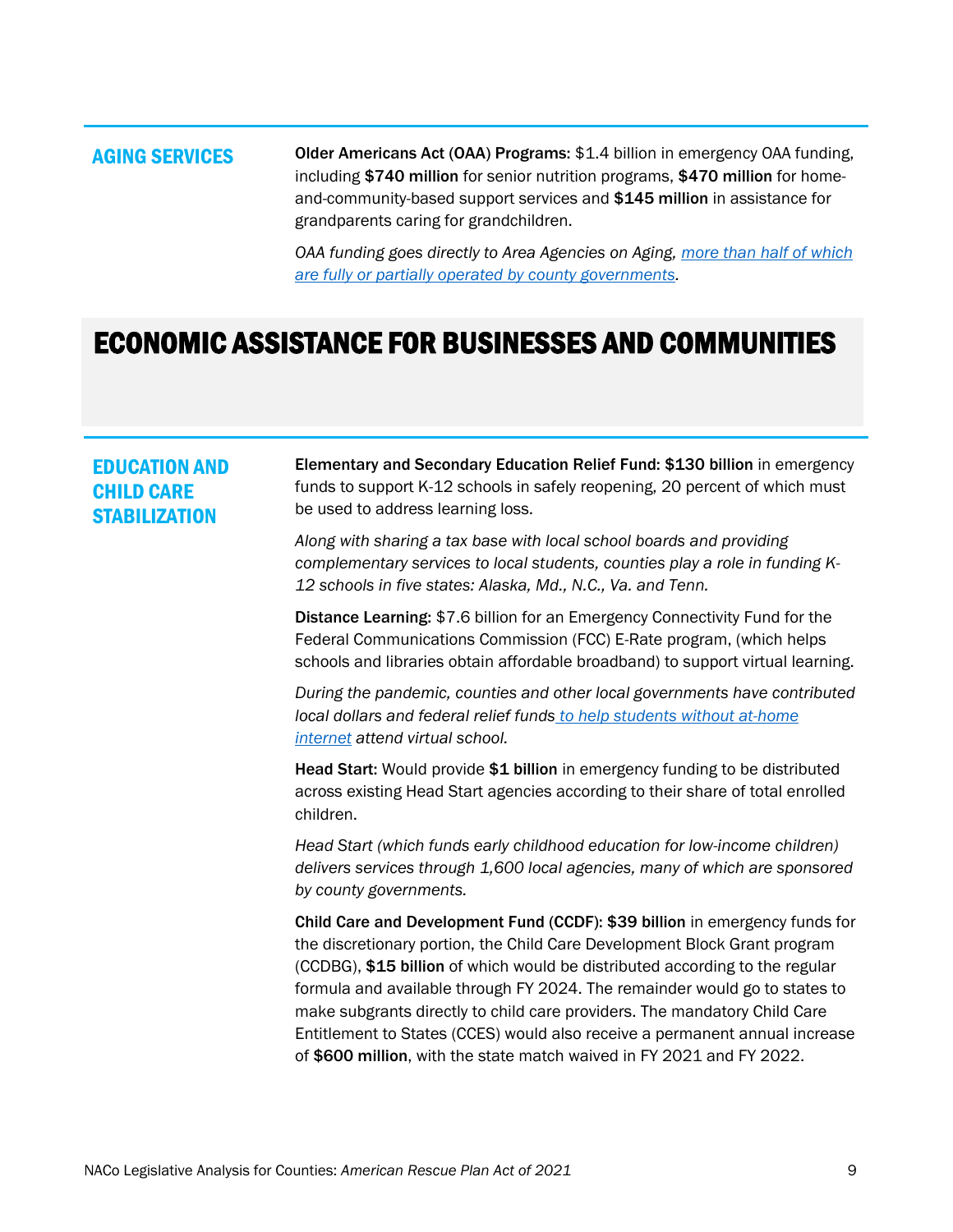### <span id="page-8-0"></span>AGING SERVICES Older Americans Act (OAA) Programs: \$1.4 billion in emergency OAA funding, including \$740 million for senior nutrition programs, \$470 million for homeand-community-based support services and \$145 million in assistance for grandparents caring for grandchildren.

*OAA funding goes directly to Area Agencies on Aging, more than half of which are fully or partially operated by county governments.* 

## <span id="page-8-1"></span>ECONOMIC ASSISTANCE FOR BUSINESSES AND COMMUNITIES

### <span id="page-8-2"></span>EDUCATION AND CHILD CARE **STABILIZATION**

Elementary and Secondary Education Relief Fund: \$130 billion in emergency funds to support K-12 schools in safely reopening, 20 percent of which must be used to address learning loss.

*Along with sharing a tax base with local school boards and providing complementary services to local students, counties play a role in funding K-12 schools in five states: Alaska, Md., N.C., Va. and Tenn.*

Distance Learning: \$7.6 billion for an Emergency Connectivity Fund for the Federal Communications Commission (FCC) E-Rate program, (which helps schools and libraries obtain affordable broadband) to support virtual learning.

*During the pandemic, counties and other local governments have contributed local dollars and federal relief funds to help students without at-home internet attend virtual school.*

Head Start: Would provide \$1 billion in emergency funding to be distributed across existing Head Start agencies according to their share of total enrolled children.

*Head Start (which funds early childhood education for low-income children) delivers services through 1,600 local agencies, many of which are sponsored by county governments.*

Child Care and Development Fund (CCDF): \$39 billion in emergency funds for the discretionary portion, the Child Care Development Block Grant program (CCDBG), \$15 billion of which would be distributed according to the regular formula and available through FY 2024. The remainder would go to states to make subgrants directly to child care providers. The mandatory Child Care Entitlement to States (CCES) would also receive a permanent annual increase of \$600 million, with the state match waived in FY 2021 and FY 2022.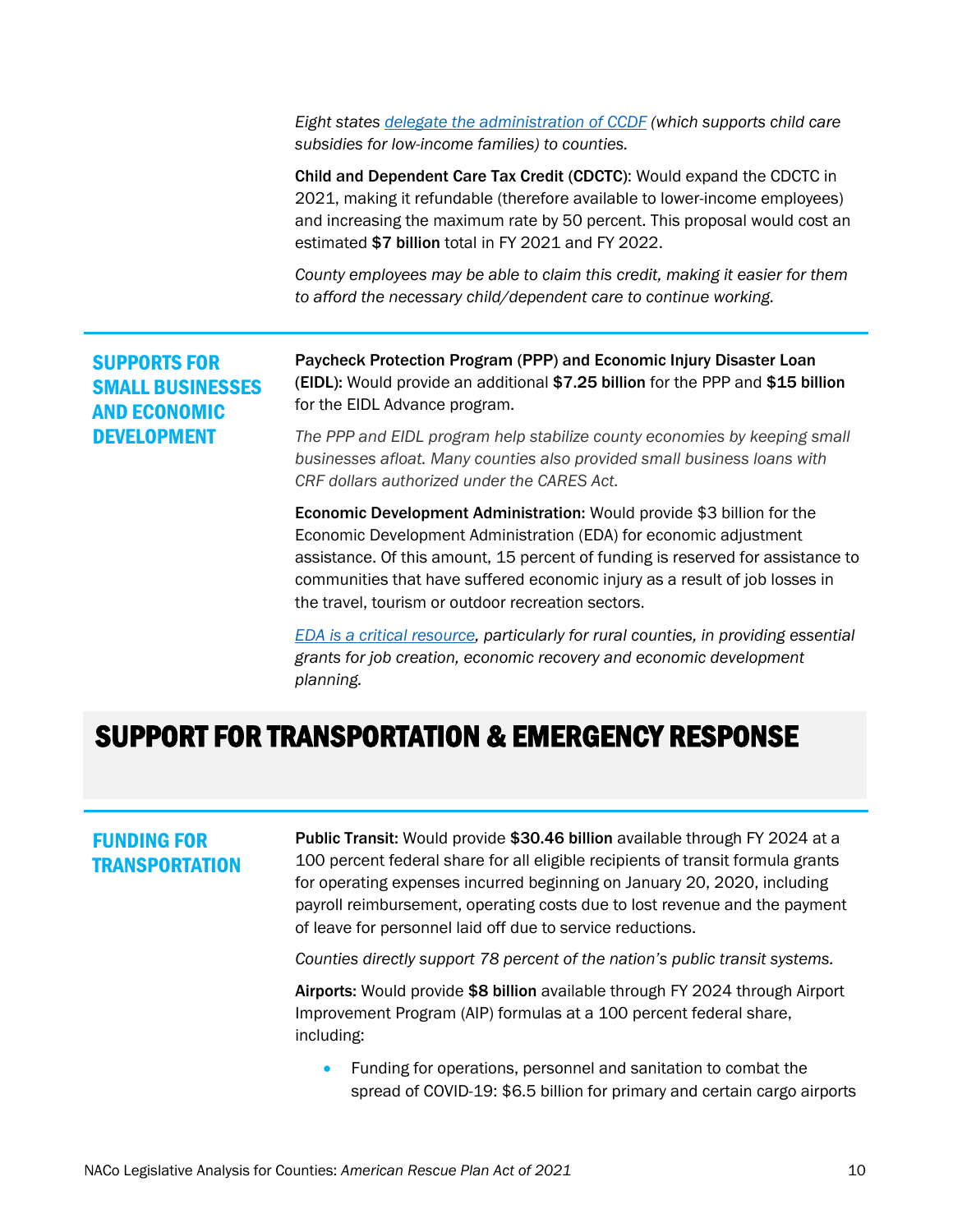*Eight states delegate the administration of CCDF (which supports child care subsidies for low-income families) to counties.*

Child and Dependent Care Tax Credit (CDCTC): Would expand the CDCTC in 2021, making it refundable (therefore available to lower-income employees) and increasing the maximum rate by 50 percent. This proposal would cost an estimated \$7 billion total in FY 2021 and FY 2022.

*County employees may be able to claim this credit, making it easier for them to afford the necessary child/dependent care to continue working.*

<span id="page-9-0"></span>SUPPORTS FOR SMALL BUSINESSES AND ECONOMIC DEVELOPMENT

Paycheck Protection Program (PPP) and Economic Injury Disaster Loan (EIDL): Would provide an additional \$7.25 billion for the PPP and \$15 billion for the EIDL Advance program.

*The PPP and EIDL program help stabilize county economies by keeping small businesses afloat. Many counties also provided small business loans with CRF dollars authorized under the CARES Act.*

Economic Development Administration: Would provide \$3 billion for the Economic Development Administration (EDA) for economic adjustment assistance. Of this amount, 15 percent of funding is reserved for assistance to communities that have suffered economic injury as a result of job losses in the travel, tourism or outdoor recreation sectors.

*EDA is a critical resource, particularly for rural counties, in providing essential grants for job creation, economic recovery and economic development planning.*

## <span id="page-9-1"></span>SUPPORT FOR TRANSPORTATION & EMERGENCY RESPONSE

### <span id="page-9-2"></span>FUNDING FOR **TRANSPORTATION**

Public Transit: Would provide \$30.46 billion available through FY 2024 at a 100 percent federal share for all eligible recipients of transit formula grants for operating expenses incurred beginning on January 20, 2020, including payroll reimbursement, operating costs due to lost revenue and the payment of leave for personnel laid off due to service reductions.

*Counties directly support 78 percent of the nation's public transit systems.*

Airports: Would provide \$8 billion available through FY 2024 through Airport Improvement Program (AIP) formulas at a 100 percent federal share, including:

• Funding for operations, personnel and sanitation to combat the spread of COVID-19: \$6.5 billion for primary and certain cargo airports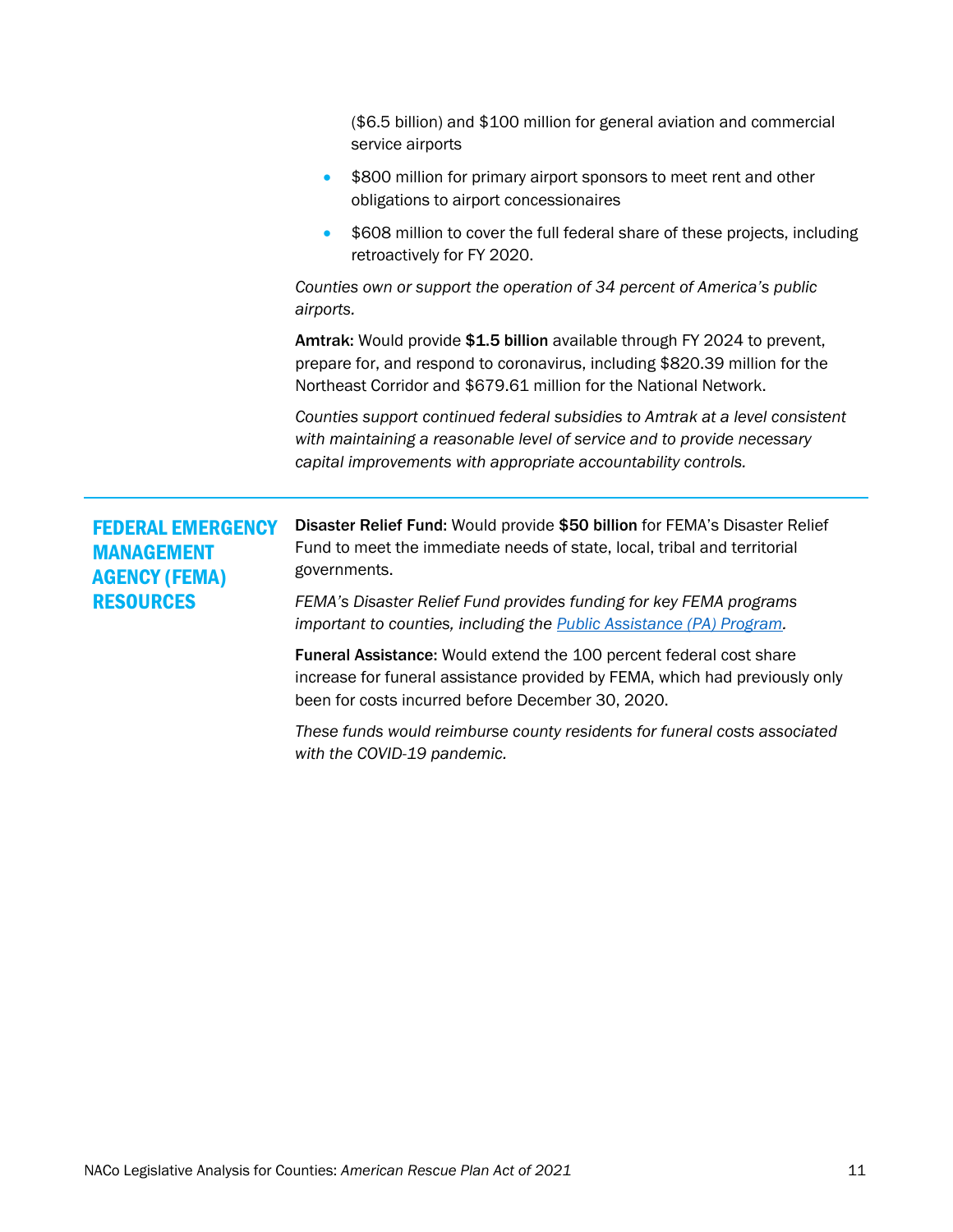<span id="page-10-1"></span><span id="page-10-0"></span>

|                                                                                           | (\$6.5 billion) and \$100 million for general aviation and commercial<br>service airports                                                                                                                                     |
|-------------------------------------------------------------------------------------------|-------------------------------------------------------------------------------------------------------------------------------------------------------------------------------------------------------------------------------|
|                                                                                           | \$800 million for primary airport sponsors to meet rent and other<br>$\bullet$<br>obligations to airport concessionaires                                                                                                      |
|                                                                                           | \$608 million to cover the full federal share of these projects, including<br>$\bullet$<br>retroactively for FY 2020.                                                                                                         |
|                                                                                           | Counties own or support the operation of 34 percent of America's public<br>airports.                                                                                                                                          |
|                                                                                           | Amtrak: Would provide \$1.5 billion available through FY 2024 to prevent,<br>prepare for, and respond to coronavirus, including \$820.39 million for the<br>Northeast Corridor and \$679.61 million for the National Network. |
|                                                                                           | Counties support continued federal subsidies to Amtrak at a level consistent<br>with maintaining a reasonable level of service and to provide necessary<br>capital improvements with appropriate accountability controls.     |
| <b>FEDERAL EMERGENCY</b><br><b>MANAGEMENT</b><br><b>AGENCY (FEMA)</b><br><b>RESOURCES</b> | Disaster Relief Fund: Would provide \$50 billion for FEMA's Disaster Relief<br>Fund to meet the immediate needs of state, local, tribal and territorial<br>governments.                                                       |
|                                                                                           | FEMA's Disaster Relief Fund provides funding for key FEMA programs<br>important to counties, including the <b>Public Assistance (PA) Program</b> .                                                                            |
|                                                                                           | Funeral Assistance: Would extend the 100 percent federal cost share<br>increase for funeral assistance provided by FEMA, which had previously only<br>been for costs incurred before December 30, 2020.                       |
|                                                                                           | These funds would reimburse county residents for funeral costs associated                                                                                                                                                     |